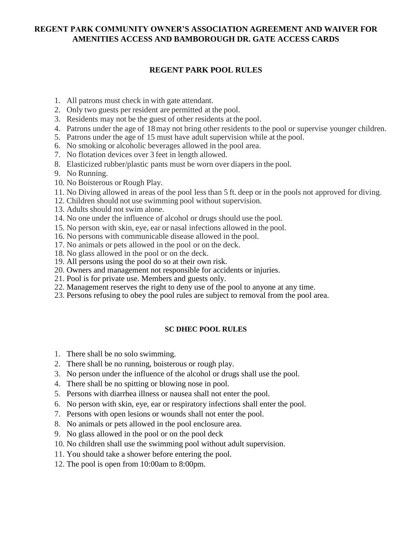# **REGENT PARK COMMUNITY OWNER'S ASSOCIATION AGREEMENT AND WAIVER FOR AMENITIES ACCESS AND BAMBOROUGH DR. GATE ACCESS CARDS**

## **REGENT PARK POOL RULES**

- 1. All patrons must check in with gate attendant.
- 2. Only two guests per resident are permitted at the pool.
- 3. Residents may not be the guest of other residents at the pool.
- 4. Patrons under the age of 18 may not bring other residents to the pool or supervise younger children.
- 5. Patrons under the age of 15 must have adult supervision while at the pool.
- 6. No smoking or alcoholic beverages allowed in the pool area.
- 7. No flotation devices over 3 feet in length allowed.
- 8. Elasticized rubber/plastic pants must be worn over diapers in the pool.
- 9. No Running.
- 10. No Boisterous or Rough Play.
- 11. No Diving allowed in areas of the pool less than 5 ft. deep or in the pools not approved for diving.
- 12. Children should not use swimming pool without supervision.
- 13. Adults should not swim alone.
- 14. No one under the influence of alcohol or drugs should use the pool.
- 15. No person with skin, eye, ear or nasal infections allowed in the pool.
- 16. No persons with communicable disease allowed in the pool.
- 17. No animals or pets allowed in the pool or on the deck.
- 18. No glass allowed in the pool or on the deck.
- 19. All persons using the pool do so at their own risk.
- 20. Owners and management not responsible for accidents or injuries.
- 21. Pool is for private use. Members and guests only.
- 22. Management reserves the right to deny use of the pool to anyone at any time.
- 23. Persons refusing to obey the pool rules are subject to removal from the pool area.

#### **SC DHEC POOL RULES**

- 1. There shall be no solo swimming.
- 2. There shall be no running, boisterous or rough play.
- 3. No person under the influence of the alcohol or drugs shall use the pool.
- 4. There shall be no spitting or blowing nose in pool.
- 5. Persons with diarrhea illness or nausea shall not enter the pool.
- 6. No person with skin, eye, ear or respiratory infections shall enter the pool.
- 7. Persons with open lesions or wounds shall not enter the pool.
- 8. No animals or pets allowed in the pool enclosure area.
- 9. No glass allowed in the pool or on the pool deck
- 10. No children shall use the swimming pool without adult supervision.
- 11. You should take a shower before entering the pool.
- 12. The pool is open from 10:00am to 8:00pm.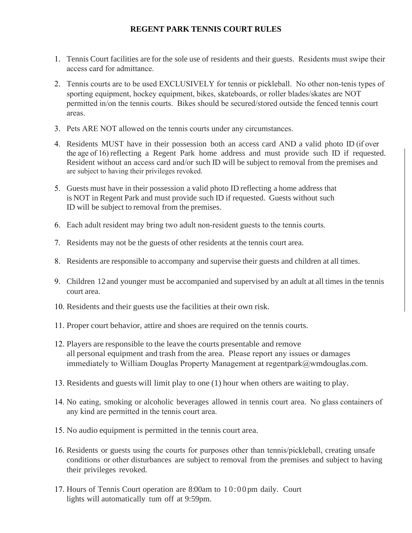# **REGENT PARK TENNIS COURT RULES**

- 1. Tennis Court facilities are for the sole use of residents and their guests. Residents must swipe their access card for admittance.
- 2. Tennis courts are to be used EXCLUSIVELY for tennis or pickleball. No other non-tenis types of sporting equipment, hockey equipment, bikes, skateboards, or roller blades/skates are NOT permitted in/on the tennis courts. Bikes should be secured/stored outside the fenced tennis court areas.
- 3. Pets ARE NOT allowed on the tennis courts under any circumstances.
- 4. Residents MUST have in their possession both an access card AND a valid photo ID (if over the age of 16) reflecting a Regent Park home address and must provide such ID if requested. Resident without an access card and/or such ID will be subject to removal from the premises and are subject to having their privileges revoked.
- 5. Guests must have in their possession a valid photo ID reflecting a home address that is NOT in Regent Park and must provide such ID if requested. Guests without such ID will be subject to removal from the premises.
- 6. Each adult resident may bring two adult non-resident guests to the tennis courts.
- 7. Residents may not be the guests of other residents at the tennis court area.
- 8. Residents are responsible to accompany and supervise their guests and children at all times.
- 9. Children 12 and younger must be accompanied and supervised by an adult at all times in the tennis court area.
- 10. Residents and their guests use the facilities at their own risk.
- 11. Proper court behavior, attire and shoes are required on the tennis courts.
- 12. Players are responsible to the leave the courts presentable and remove all personal equipment and trash from the area. Please report any issues or damages immediately to William Douglas Property Management at regentpark@wmdouglas.com.
- 13. Residents and guests will limit play to one (1) hour when others are waiting to play.
- 14. No eating, smoking or alcoholic beverages allowed in tennis court area. No glass containers of any kind are permitted in the tennis court area.
- 15. No audio equipment is permitted in the tennis court area.
- 16. Residents or guests using the courts for purposes other than tennis/pickleball, creating unsafe conditions or other disturbances are subject to removal from the premises and subject to having their privileges revoked.
- 17. Hours of Tennis Court operation are 8:00am to 10:00pm daily. Court lights will automatically tum off at 9:59pm.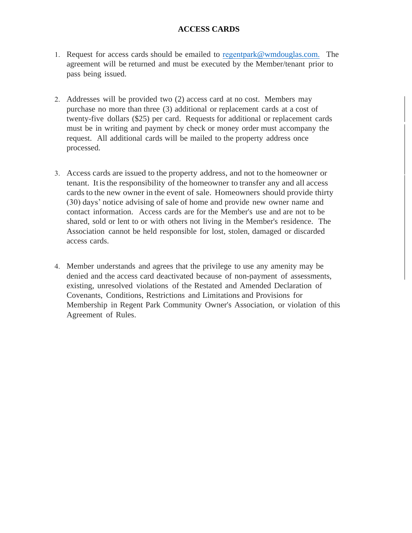## **ACCESS CARDS**

- 1. Request for access cards should be emailed to regentpark[@wmdouglas.com.](mailto:smyrick@wmdouglas.com.) The agreement will be returned and must be executed by the Member/tenant prior to pass being issued.
- 2. Addresses will be provided two (2) access card at no cost. Members may purchase no more than three (3) additional or replacement cards at a cost of twenty-five dollars (\$25) per card. Requests for additional or replacement cards must be in writing and payment by check or money order must accompany the request. All additional cards will be mailed to the property address once processed.
- 3. Access cards are issued to the property address, and not to the homeowner or tenant. Itisthe responsibility of the homeowner to transfer any and all access cards to the new owner in the event of sale. Homeowners should provide thirty (30) days' notice advising of sale of home and provide new owner name and contact information. Access cards are for the Member's use and are not to be shared, sold or lent to or with others not living in the Member's residence. The Association cannot be held responsible for lost, stolen, damaged or discarded access cards.
- 4. Member understands and agrees that the privilege to use any amenity may be denied and the access card deactivated because of non-payment of assessments, existing, unresolved violations of the Restated and Amended Declaration of Covenants, Conditions, Restrictions and Limitations and Provisions for Membership in Regent Park Community Owner's Association, or violation of this Agreement of Rules.